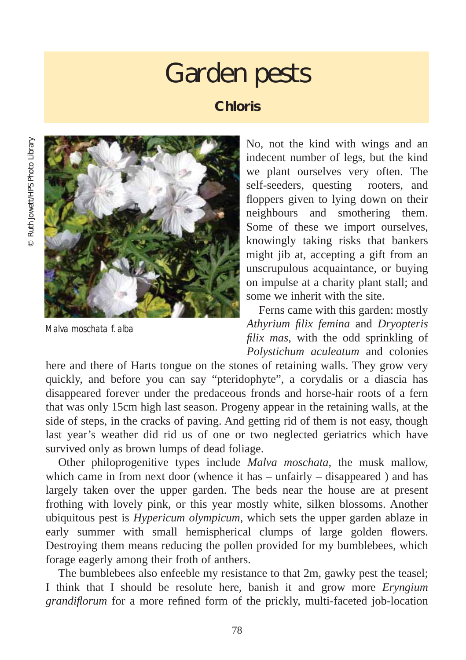## Garden pests

## **Chloris**



*Malva moschata* f. *alba*

No, not the kind with wings and an indecent number of legs, but the kind we plant ourselves very often. The self-seeders, questing rooters, and floppers given to lying down on their neighbours and smothering them. Some of these we import ourselves, knowingly taking risks that bankers might jib at, accepting a gift from an unscrupulous acquaintance, or buying on impulse at a charity plant stall; and some we inherit with the site.

Ferns came with this garden: mostly *Athyrium filix femina* and *Dryopteris filix mas*, with the odd sprinkling of *Polystichum aculeatum* and colonies

here and there of Harts tongue on the stones of retaining walls. They grow very quickly, and before you can say "pteridophyte", a corydalis or a diascia has disappeared forever under the predaceous fronds and horse-hair roots of a fern that was only 15cm high last season. Progeny appear in the retaining walls, at the side of steps, in the cracks of paving. And getting rid of them is not easy, though last year's weather did rid us of one or two neglected geriatrics which have survived only as brown lumps of dead foliage.

Other philoprogenitive types include *Malva moschata*, the musk mallow, which came in from next door (whence it has – unfairly – disappeared ) and has largely taken over the upper garden. The beds near the house are at present frothing with lovely pink, or this year mostly white, silken blossoms. Another ubiquitous pest is *Hypericum olympicum*, which sets the upper garden ablaze in early summer with small hemispherical clumps of large golden flowers. Destroying them means reducing the pollen provided for my bumblebees, which forage eagerly among their froth of anthers.

The bumblebees also enfeeble my resistance to that 2m, gawky pest the teasel; I think that I should be resolute here, banish it and grow more *Eryngium grandiflorum* for a more refined form of the prickly, multi-faceted job-location